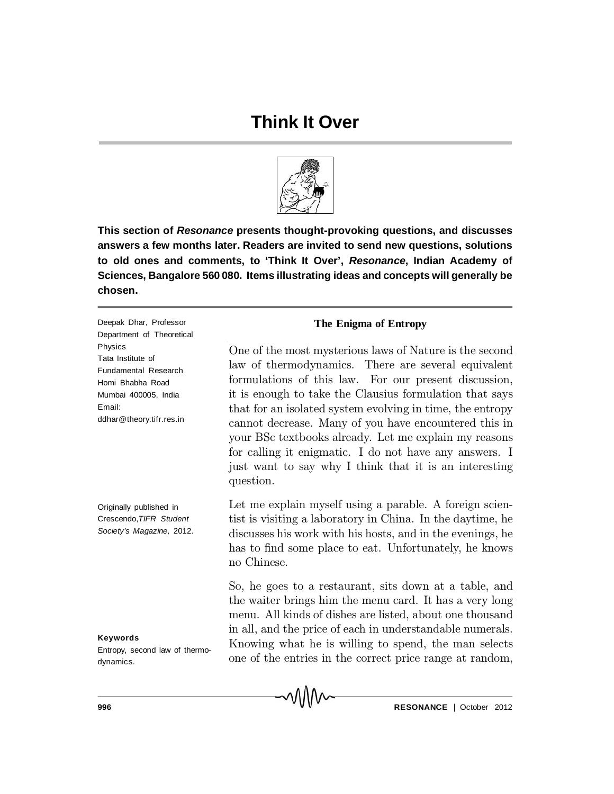## **Think It Over**



**This section of** *Resonance* **presents thought-provoking questions, and discusses answers a few months later. Readers are invited to send new questions, solutions to old ones and comments, to 'Think It Over',** *Resonance***, Indian Academy of Sciences, Bangalore 560 080. Items illustrating ideas and concepts will generally be chosen.**

Deepak Dhar, Professor Department of Theoretical Physics Tata Institute of Fundamental Research Homi Bhabha Road Mumbai 400005, India Email: ddhar@theory.tifr.res.in

Originally published in Crescendo,*TIFR Student Society's Magazine,* 2012.

**Keywords** Entropy, second law of thermodynamics.

## **The Enigma of Entropy**

One of the most mysterious laws of Nature is the second law of thermodynamics. There are several equivalent formulations of this law. For our present discussion, it is enough to take the Clausius formulation that says that for an isolated system evolving in time, the entropy cannot decrease. Many of you have encountered this in your BSc textbooks already. Let me explain my reasons for calling it enigmatic. I do not have any answers. I just want to say why I think that it is an interesting question.

Let me explain myself using a parable. A foreign scientist is visiting a laboratory in China. In the daytime, he discusses his work with his hosts, and in the evenings, he has to find some place to eat. Unfortunately, he knows no Chinese.

So, he goes to a restaurant, sits down at a table, and the waiter brings him the menu card. It has a very long menu. All kinds of dishes are listed, about one thousand in all, and the price of each in understandable numerals. Knowing what he is willing to spend, the man selects one of the entries in the correct price range at random,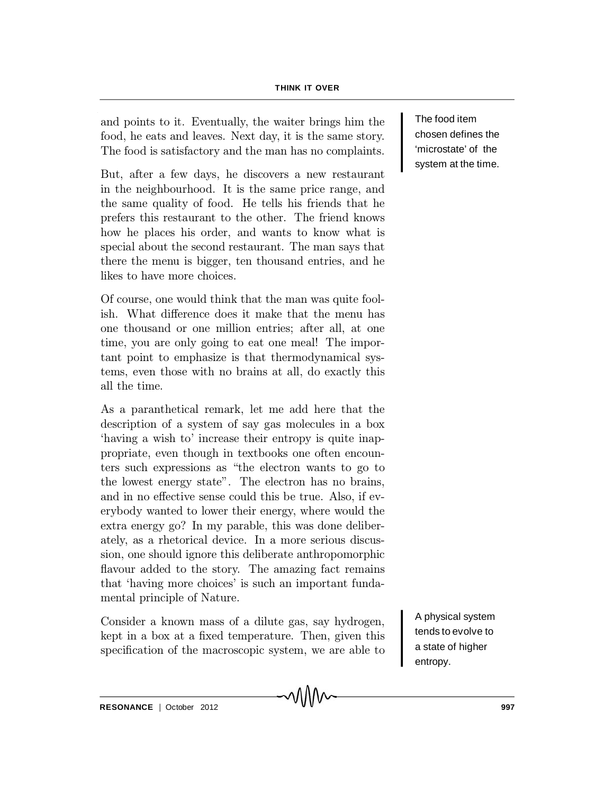## **THINK IT OVER**

and points to it. Eventually, the waiter brings him the food, he eats and leaves. Next day, it is the same story. The food is satisfactory and the man has no complaints.

But, after a few days, he discovers a new restaurant in the neighbourhood. It is the same price range, and the same quality of food. He tells his friends that he prefers this restaurant to the other. The friend knows how he places his order, and wants to know what is special about the second restaurant. The man says that there the menu is bigger, ten thousand entries, and he likes to have more choices.

Of course, one would think that the man was quite foolish. What difference does it make that the menu has one thousand or one million entries; after all, at one time, you are only going to eat one meal! The important point to emphasize is that thermodynamical systems, even those with no brains at all, do exactly this all the time.

As a paranthetical remark, let me add here that the description of a system of say gas molecules in a box `having a wish to' increase their entropy is quite inappropriate, even though in textbooks one often encounters such expressions as \the electron wants to go to the lowest energy state". The electron has no brains, and in no effective sense could this be true. Also, if everybody wanted to lower their energy, where would the extra energy go? In my parable, this was done deliberately, as a rhetorical device. In a more serious discussion, one should ignore this deliberate anthropomorphic flavour added to the story. The amazing fact remains that `having more choices' is such an important fundamental principle of Nature.

Consider a known mass of a dilute gas, say hydrogen, kept in a box at a fixed temperature. Then, given this specification of the macroscopic system, we are able to

MWV

The food item chosen defines the 'microstate' of the system at the time.

A physical system tends to evolve to a state of higher entropy.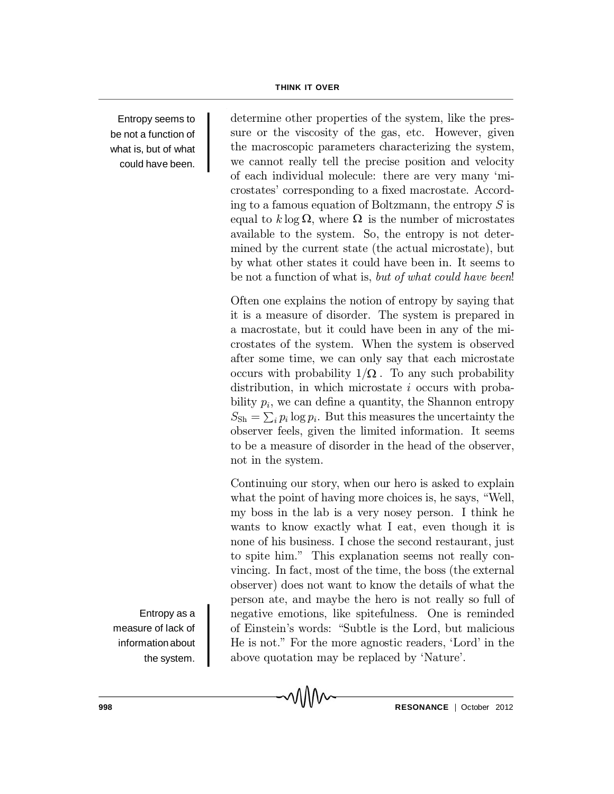Entropy seems to be not a function of what is, but of what could have been.

determine other properties of the system, like the pressure or the viscosity of the gas, etc. However, given the macroscopic parameters characterizing the system, we cannot really tell the precise position and velocity of each individual molecule: there are very many 'microstates' corresponding to a fixed macrostate. According to a famous equation of Boltzmann, the entropy  $S$  is equal to  $k \log \Omega$ , where  $\Omega$  is the number of microstates available to the system. So, the entropy is not determined by the current state (the actual microstate), but by what other states it could have been in. It seems to be not a function of what is, but of what could have been!

Often one explains the notion of entropy by saying that it is a measure of disorder. The system is prepared in a macrostate, but it could have been in any of the microstates of the system. When the system is observed after some time, we can only say that each microstate occurs with probability  $1/\Omega$ . To any such probability distribution, in which microstate *i* occurs with probability  $p_i$ , we can define a quantity, the Shannon entropy  $S_{\text{Sh}} = \sum_i p_i \log p_i$ . But this measures the uncertainty the observer feels, given the limited information. It seems to be a measure of disorder in the head of the observer, not in the system.

Continuing our story, when our hero is asked to explain what the point of having more choices is, he says, "Well, my boss in the lab is a very nosey person. I think he wants to know exactly what I eat, even though it is none of his business. I chose the second restaurant, just to spite him." This explanation seems not really convincing. In fact, most of the time, the boss (the external observer) does not want to know the details of what the person ate, and maybe the hero is not really so full of negative emotions, like spitefulness. One is reminded of Einstein's words: "Subtle is the Lord, but malicious He is not." For the more agnostic readers, `Lord' in the above quotation may be replaced by 'Nature'.

л∧∧∼

Entropy as a measure of lack of informationabout the system.